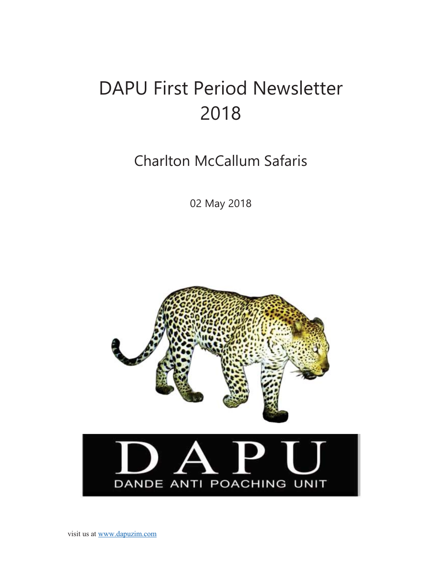# DAPU First Period Newsletter 2018

Charlton McCallum Safaris

02 May 2018

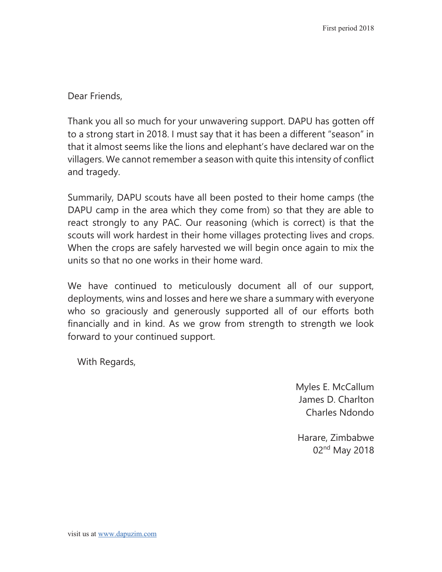Dear Friends,

Thank you all so much for your unwavering support. DAPU has gotten off to a strong start in 2018. I must say that it has been a different "season" in that it almost seems like the lions and elephant's have declared war on the villagers. We cannot remember a season with quite this intensity of conflict and tragedy.

Summarily, DAPU scouts have all been posted to their home camps (the DAPU camp in the area which they come from) so that they are able to react strongly to any PAC. Our reasoning (which is correct) is that the scouts will work hardest in their home villages protecting lives and crops. When the crops are safely harvested we will begin once again to mix the units so that no one works in their home ward.

We have continued to meticulously document all of our support, deployments, wins and losses and here we share a summary with everyone who so graciously and generously supported all of our efforts both financially and in kind. As we grow from strength to strength we look forward to your continued support.

With Regards,

Myles E. McCallum James D. Charlton Charles Ndondo

Harare, Zimbabwe 02<sup>nd</sup> May 2018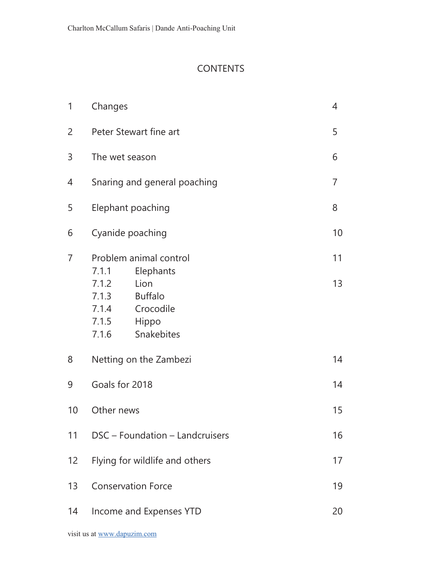#### **CONTENTS**

| 1              | Changes                                                                                                 | 4  |
|----------------|---------------------------------------------------------------------------------------------------------|----|
| 2              | Peter Stewart fine art                                                                                  |    |
| 3              | The wet season                                                                                          | 6  |
| 4              | Snaring and general poaching                                                                            |    |
| 5              | Elephant poaching                                                                                       |    |
| 6              | Cyanide poaching                                                                                        |    |
| $\overline{7}$ | Problem animal control<br>Elephants<br>7.1.1                                                            | 11 |
|                | Lion<br>7.1.2<br><b>Buffalo</b><br>7.1.3<br>Crocodile<br>7.1.4<br>7.1.5<br>Hippo<br>7.1.6<br>Snakebites | 13 |
| 8              | Netting on the Zambezi                                                                                  | 14 |
| 9              | Goals for 2018                                                                                          |    |
| 10             | Other news                                                                                              |    |
| 11             | DSC - Foundation - Landcruisers                                                                         |    |
| 12             | Flying for wildlife and others                                                                          |    |
| 13             | <b>Conservation Force</b>                                                                               |    |
| 14             | Income and Expenses YTD                                                                                 |    |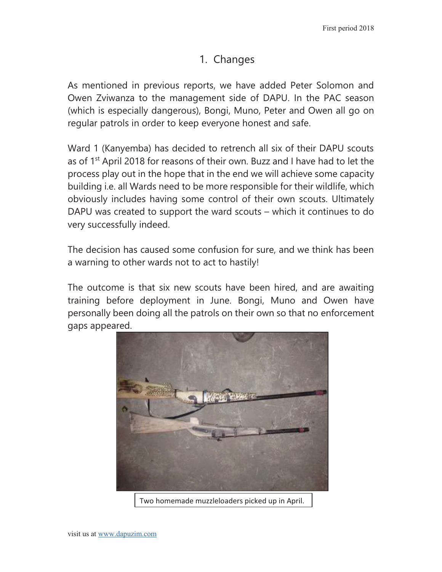## 1. Changes

As mentioned in previous reports, we have added Peter Solomon and Owen Zviwanza to the management side of DAPU. In the PAC season (which is especially dangerous), Bongi, Muno, Peter and Owen all go on regular patrols in order to keep everyone honest and safe.

Ward 1 (Kanyemba) has decided to retrench all six of their DAPU scouts as of  $1<sup>st</sup>$  April 2018 for reasons of their own. Buzz and I have had to let the process play out in the hope that in the end we will achieve some capacity building i.e. all Wards need to be more responsible for their wildlife, which obviously includes having some control of their own scouts. Ultimately DAPU was created to support the ward scouts – which it continues to do very successfully indeed.

The decision has caused some confusion for sure, and we think has been a warning to other wards not to act to hastily!

The outcome is that six new scouts have been hired, and are awaiting training before deployment in June. Bongi, Muno and Owen have personally been doing all the patrols on their own so that no enforcement gaps appeared.



Two homemade muzzleloaders picked up in April.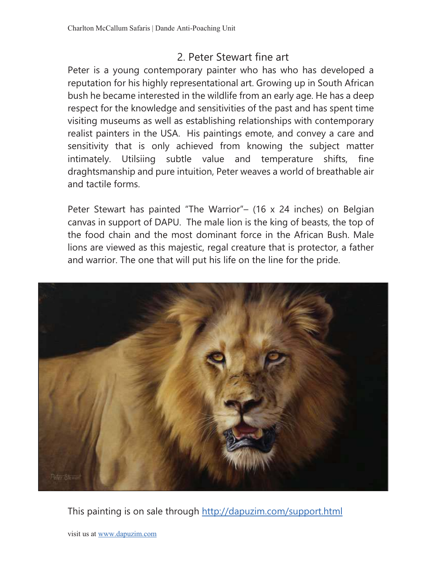## 2. Peter Stewart fine art

Peter is a young contemporary painter who has who has developed a reputation for his highly representational art. Growing up in South African bush he became interested in the wildlife from an early age. He has a deep respect for the knowledge and sensitivities of the past and has spent time visiting museums as well as establishing relationships with contemporary realist painters in the USA. His paintings emote, and convey a care and sensitivity that is only achieved from knowing the subject matter intimately. Utilsiing subtle value and temperature shifts, fine draghtsmanship and pure intuition, Peter weaves a world of breathable air and tactile forms.

Peter Stewart has painted "The Warrior"– (16 x 24 inches) on Belgian canvas in support of DAPU. The male lion is the king of beasts, the top of the food chain and the most dominant force in the African Bush. Male lions are viewed as this majestic, regal creature that is protector, a father and warrior. The one that will put his life on the line for the pride.



This painting is on sale through http://dapuzim.com/support.html

visit us at www.dapuzim.com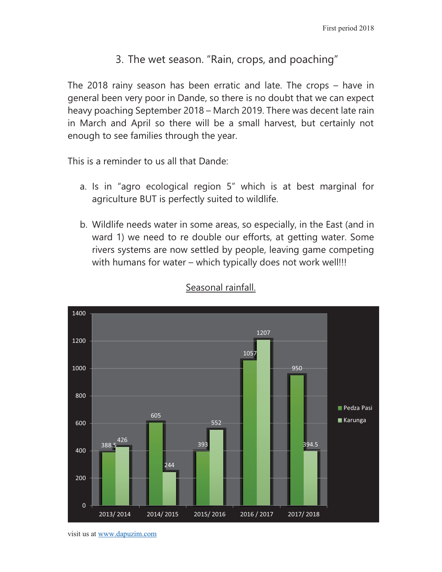## 3. The wet season. "Rain, crops, and poaching"

The 2018 rainy season has been erratic and late. The crops – have in general been very poor in Dande, so there is no doubt that we can expect heavy poaching September 2018 – March 2019. There was decent late rain in March and April so there will be a small harvest, but certainly not enough to see families through the year.

This is a reminder to us all that Dande:

- a. Is in "agro ecological region 5" which is at best marginal for agriculture BUT is perfectly suited to wildlife.
- b. Wildlife needs water in some areas, so especially, in the East (and in ward 1) we need to re double our efforts, at getting water. Some rivers systems are now settled by people, leaving game competing with humans for water – which typically does not work well!!!



#### Seasonal rainfall.

visit us at www.dapuzim.com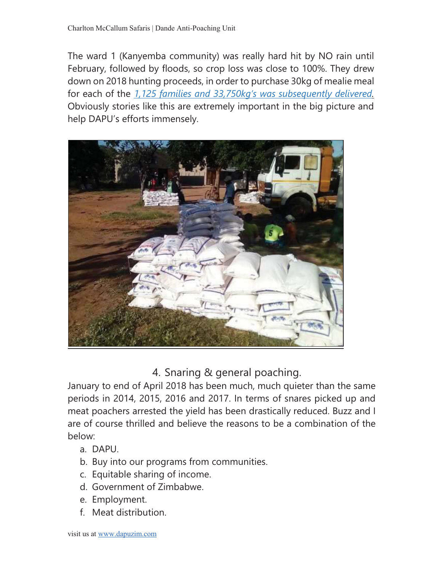The ward 1 (Kanyemba community) was really hard hit by NO rain until February, followed by floods, so crop loss was close to 100%. They drew down on 2018 hunting proceeds, in order to purchase 30kg of mealie meal for each of the *1,125 families and 33,750kg's was subsequently delivered.*  Obviously stories like this are extremely important in the big picture and help DAPU's efforts immensely.

![](_page_6_Picture_2.jpeg)

4. Snaring & general poaching.

January to end of April 2018 has been much, much quieter than the same periods in 2014, 2015, 2016 and 2017. In terms of snares picked up and meat poachers arrested the yield has been drastically reduced. Buzz and I are of course thrilled and believe the reasons to be a combination of the below:

- a. DAPU.
- b. Buy into our programs from communities.
- c. Equitable sharing of income.
- d. Government of Zimbabwe.
- e. Employment.
- f. Meat distribution.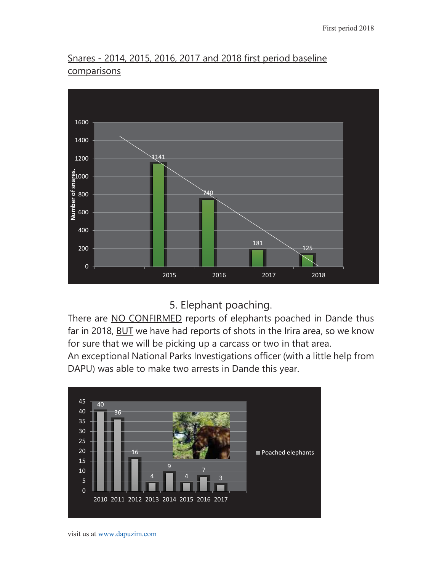### Snares - 2014, 2015, 2016, 2017 and 2018 first period baseline comparisons

![](_page_7_Figure_2.jpeg)

5. Elephant poaching.

There are NO CONFIRMED reports of elephants poached in Dande thus far in 2018, BUT we have had reports of shots in the Irira area, so we know for sure that we will be picking up a carcass or two in that area.

An exceptional National Parks Investigations officer (with a little help from DAPU) was able to make two arrests in Dande this year.

![](_page_7_Figure_6.jpeg)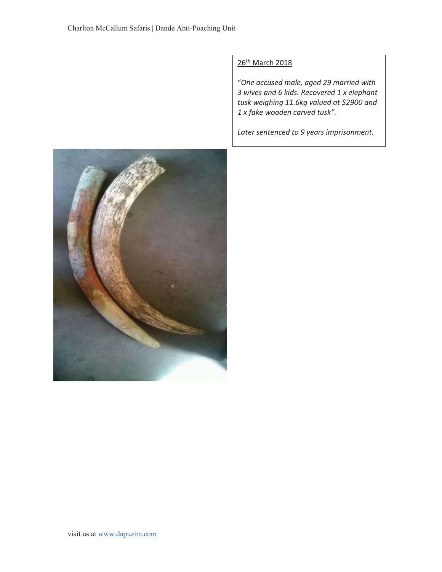#### 26<sup>th</sup> March 2018

"*One accused male, aged 29 married with 3 wives and 6 kids. Recovered 1 x elephant tusk weighing 11.6kg valued at \$2900 and 1 x fake wooden carved tusk".* 

*Later sentenced to 9 years imprisonment.* 

![](_page_8_Picture_4.jpeg)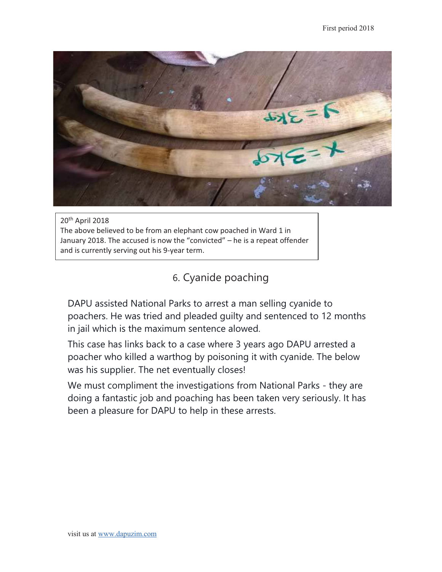![](_page_9_Picture_1.jpeg)

20th April 2018 The above believed to be from an elephant cow poached in Ward 1 in January 2018. The accused is now the "convicted" – he is a repeat offender and is currently serving out his 9-year term.

6. Cyanide poaching

DAPU assisted National Parks to arrest a man selling cyanide to poachers. He was tried and pleaded guilty and sentenced to 12 months in jail which is the maximum sentence alowed.

This case has links back to a case where 3 years ago DAPU arrested a poacher who killed a warthog by poisoning it with cyanide. The below was his supplier. The net eventually closes!

We must compliment the investigations from National Parks - they are doing a fantastic job and poaching has been taken very seriously. It has been a pleasure for DAPU to help in these arrests.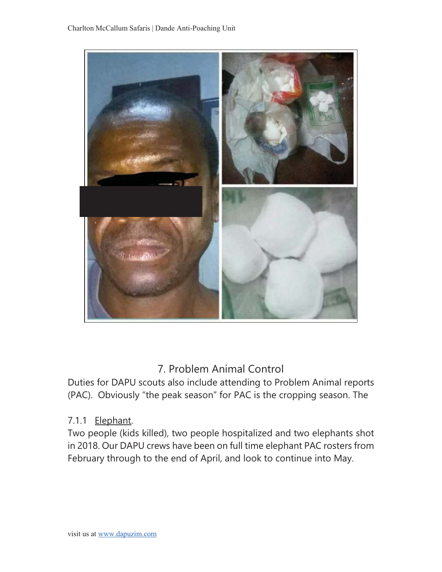![](_page_10_Picture_1.jpeg)

# 7. Problem Animal Control

Duties for DAPU scouts also include attending to Problem Animal reports (PAC). Obviously "the peak season" for PAC is the cropping season. The

#### 7.1.1 Elephant.

Two people (kids killed), two people hospitalized and two elephants shot in 2018. Our DAPU crews have been on full time elephant PAC rosters from February through to the end of April, and look to continue into May.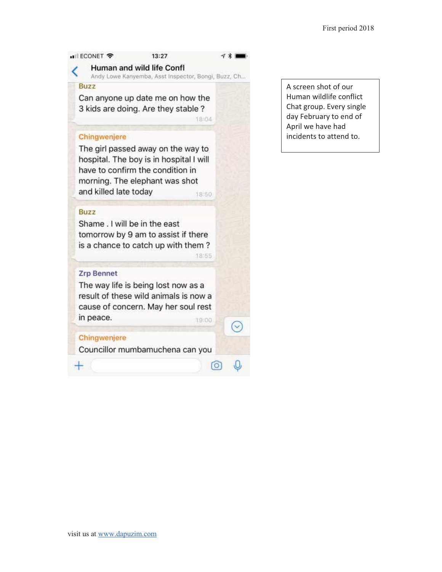#### • ECONET 중  $13:27$ Human and wild life Confl Andy Lowe Kanyemba, Asst Inspector, Bongi, Buzz, Ch... **Buzz** Can anyone up date me on how the 3 kids are doing. Are they stable? 18:04 Chingwenjere The girl passed away on the way to hospital. The boy is in hospital I will have to confirm the condition in morning. The elephant was shot and killed late today 18:50 **Buzz** Shame . I will be in the east tomorrow by 9 am to assist if there is a chance to catch up with them? 18:55

#### **Zrp Bennet**

The way life is being lost now as a result of these wild animals is now a cause of concern. May her soul rest in peace. 19:00

#### Chingwenjere

┿

Councillor mumbamuchena can you

V

 $\lceil \circ \rceil$ 

A screen shot of our Human wildlife conflict Chat group. Every single day February to end of April we have had incidents to attend to.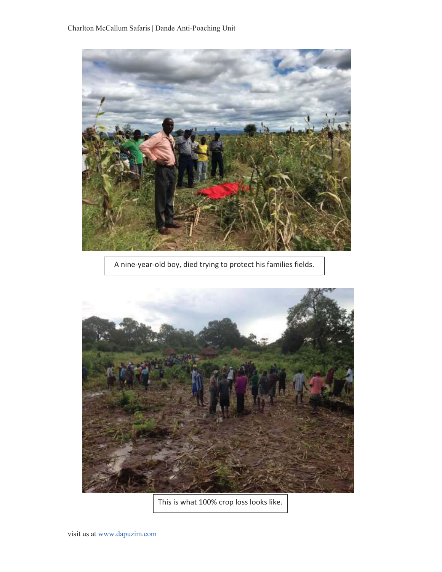![](_page_12_Picture_1.jpeg)

A nine-year-old boy, died trying to protect his families fields.

![](_page_12_Picture_3.jpeg)

This is what 100% crop loss looks like.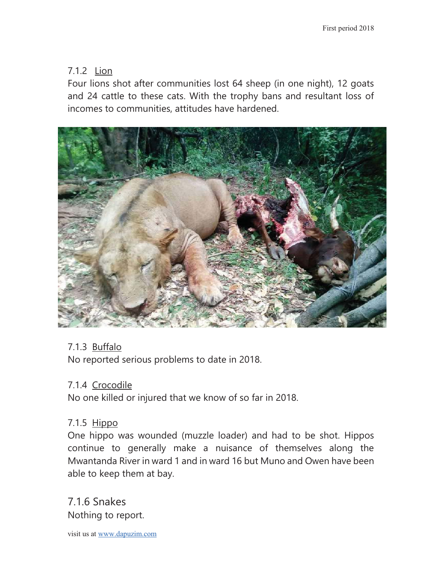## 7.1.2 Lion

Four lions shot after communities lost 64 sheep (in one night), 12 goats and 24 cattle to these cats. With the trophy bans and resultant loss of incomes to communities, attitudes have hardened.

![](_page_13_Picture_3.jpeg)

## 7.1.3 Buffalo

No reported serious problems to date in 2018.

#### 7.1.4 Crocodile

No one killed or injured that we know of so far in 2018.

## 7.1.5 Hippo

One hippo was wounded (muzzle loader) and had to be shot. Hippos continue to generally make a nuisance of themselves along the Mwantanda River in ward 1 and in ward 16 but Muno and Owen have been able to keep them at bay.

7.1.6 Snakes Nothing to report.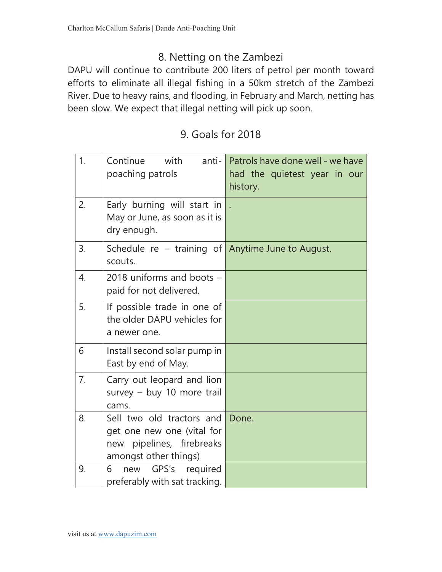# 8. Netting on the Zambezi

DAPU will continue to contribute 200 liters of petrol per month toward efforts to eliminate all illegal fishing in a 50km stretch of the Zambezi River. Due to heavy rains, and flooding, in February and March, netting has been slow. We expect that illegal netting will pick up soon.

# 9. Goals for 2018

| 1. | Continue<br>with<br>anti- $\ $<br>poaching patrols                                                            | Patrols have done well - we have<br>had the quietest year in our<br>history. |
|----|---------------------------------------------------------------------------------------------------------------|------------------------------------------------------------------------------|
| 2. | Early burning will start in<br>May or June, as soon as it is<br>dry enough.                                   |                                                                              |
| 3. | Schedule re – training of Anytime June to August.<br>scouts.                                                  |                                                                              |
| 4. | 2018 uniforms and boots $-$<br>paid for not delivered.                                                        |                                                                              |
| 5. | If possible trade in one of<br>the older DAPU vehicles for<br>a newer one.                                    |                                                                              |
| 6  | Install second solar pump in<br>East by end of May.                                                           |                                                                              |
| 7. | Carry out leopard and lion<br>survey $-$ buy 10 more trail<br>cams.                                           |                                                                              |
| 8. | Sell two old tractors and<br>get one new one (vital for<br>new pipelines, firebreaks<br>amongst other things) | Done.                                                                        |
| 9. | required<br>GPS's<br>6<br>new<br>preferably with sat tracking.                                                |                                                                              |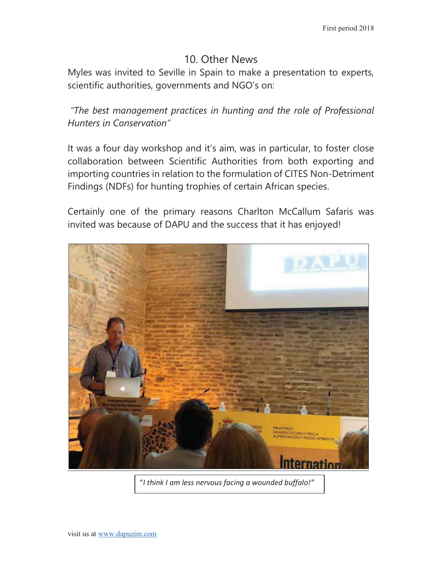## 10. Other News

Myles was invited to Seville in Spain to make a presentation to experts, scientific authorities, governments and NGO's on:

*"The best management practices in hunting and the role of Professional Hunters in Conservation"* 

It was a four day workshop and it's aim, was in particular, to foster close collaboration between Scientific Authorities from both exporting and importing countries in relation to the formulation of CITES Non-Detriment Findings (NDFs) for hunting trophies of certain African species.

Certainly one of the primary reasons Charlton McCallum Safaris was invited was because of DAPU and the success that it has enjoyed!

![](_page_15_Picture_6.jpeg)

"*I think I am less nervous facing a wounded buffalo!"*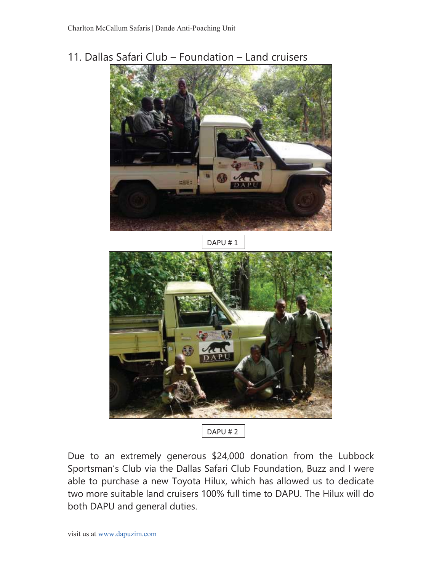11. Dallas Safari Club – Foundation – Land cruisers

![](_page_16_Picture_2.jpeg)

Due to an extremely generous \$24,000 donation from the Lubbock Sportsman's Club via the Dallas Safari Club Foundation, Buzz and I were able to purchase a new Toyota Hilux, which has allowed us to dedicate two more suitable land cruisers 100% full time to DAPU. The Hilux will do both DAPU and general duties.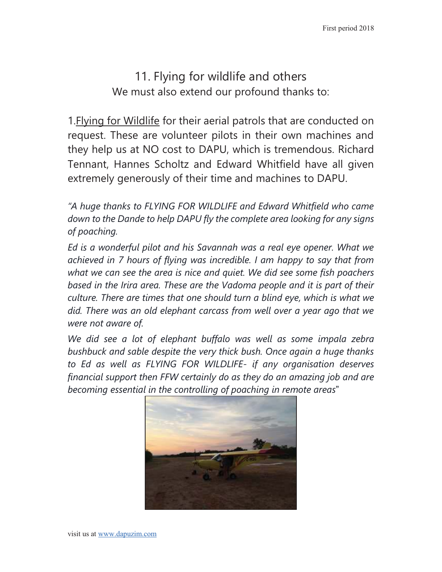11. Flying for wildlife and others We must also extend our profound thanks to:

1.Flying for Wildlife for their aerial patrols that are conducted on request. These are volunteer pilots in their own machines and they help us at NO cost to DAPU, which is tremendous. Richard Tennant, Hannes Scholtz and Edward Whitfield have all given extremely generously of their time and machines to DAPU.

*"A huge thanks to FLYING FOR WILDLIFE and Edward Whitfield who came down to the Dande to help DAPU fly the complete area looking for any signs of poaching.* 

*Ed is a wonderful pilot and his Savannah was a real eye opener. What we achieved in 7 hours of flying was incredible. I am happy to say that from what we can see the area is nice and quiet. We did see some fish poachers based in the Irira area. These are the Vadoma people and it is part of their culture. There are times that one should turn a blind eye, which is what we did. There was an old elephant carcass from well over a year ago that we were not aware of.* 

We did see a lot of elephant buffalo was well as some impala zebra *bushbuck and sable despite the very thick bush. Once again a huge thanks to Ed as well as FLYING FOR WILDLIFE- if any organisation deserves financial support then FFW certainly do as they do an amazing job and are becoming essential in the controlling of poaching in remote areas*"

![](_page_17_Picture_6.jpeg)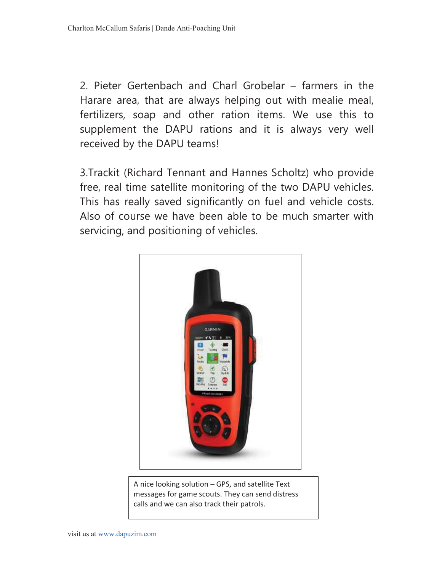2. Pieter Gertenbach and Charl Grobelar – farmers in the Harare area, that are always helping out with mealie meal, fertilizers, soap and other ration items. We use this to supplement the DAPU rations and it is always very well received by the DAPU teams!

3.Trackit (Richard Tennant and Hannes Scholtz) who provide free, real time satellite monitoring of the two DAPU vehicles. This has really saved significantly on fuel and vehicle costs. Also of course we have been able to be much smarter with servicing, and positioning of vehicles.

![](_page_18_Picture_3.jpeg)

A nice looking solution – GPS, and satellite Text messages for game scouts. They can send distress calls and we can also track their patrols.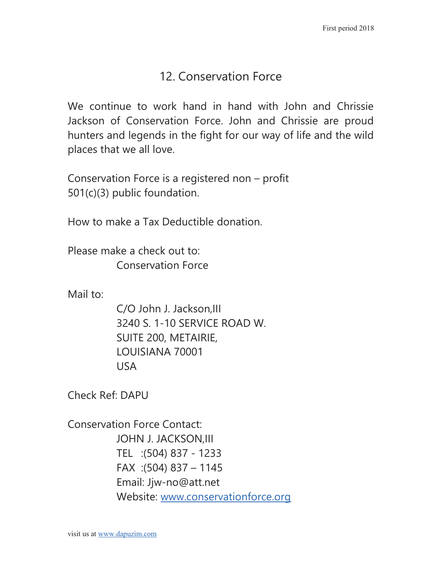# 12. Conservation Force

We continue to work hand in hand with John and Chrissie Jackson of Conservation Force. John and Chrissie are proud hunters and legends in the fight for our way of life and the wild places that we all love.

Conservation Force is a registered non – profit 501(c)(3) public foundation.

How to make a Tax Deductible donation.

Please make a check out to: Conservation Force

Mail to:

C/O John J. Jackson,III 3240 S. 1-10 SERVICE ROAD W. SUITE 200, METAIRIE, LOUISIANA 70001 USA

Check Ref: DAPU

Conservation Force Contact: JOHN J. JACKSON,III TEL :(504) 837 - 1233 FAX :(504) 837 – 1145 Email: Jjw-no@att.net Website: www.conservationforce.org